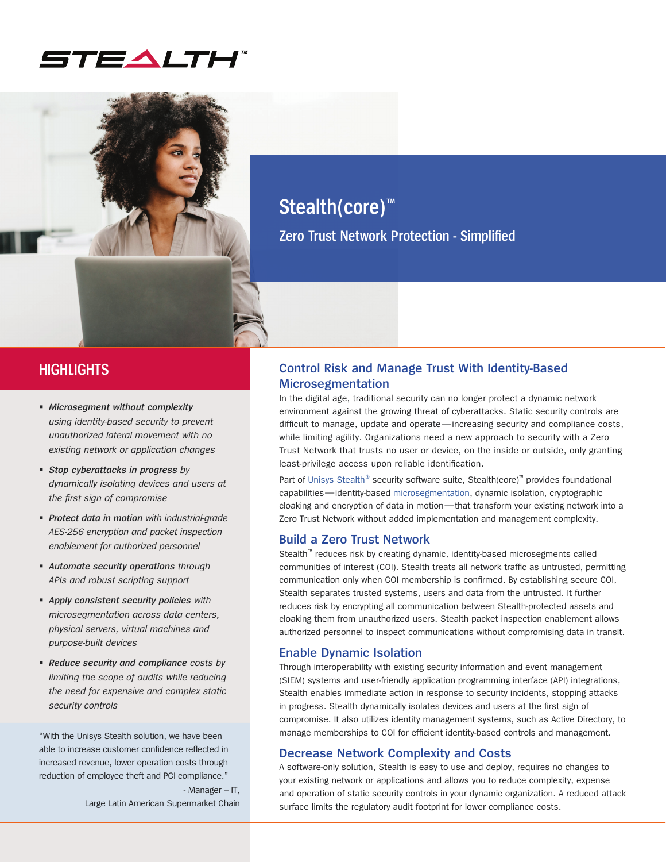



**Zero Trust Network Protection - Simplified**

## **HIGHLIGHTS**

- *Microsegment without complexity using identity-based security to prevent unauthorized lateral movement with no existing network or application changes*
- *Stop cyberattacks in progress by dynamically isolating devices and users at the first sign of compromise*
- *Protect data in motion with industrial-grade AES-256 encryption and packet inspection enablement for authorized personnel*
- *Automate security operations through APIs and robust scripting support*
- *Apply consistent security policies with microsegmentation across data centers, physical servers, virtual machines and purpose-built devices*
- *Reduce security and compliance costs by limiting the scope of audits while reducing the need for expensive and complex static security controls*

"With the Unisys Stealth solution, we have been able to increase customer confidence reflected in increased revenue, lower operation costs through reduction of employee theft and PCI compliance."

> - Manager – IT, Large Latin American Supermarket Chain

### **Control Risk and Manage Trust With Identity-Based Microsegmentation**

In the digital age, traditional security can no longer protect a dynamic network environment against the growing threat of cyberattacks. Static security controls are difficult to manage, update and operate—increasing security and compliance costs, while limiting agility. Organizations need a new approach to security with a Zero Trust Network that trusts no user or device, on the inside or outside, only granting least-privilege access upon reliable identification.

Part of [Unisys Stealth](https://www.unisys.com/offerings/security-solutions/unisys-stealth-products-and-services)<sup>®</sup> security software suite, Stealth(core)<sup>™</sup> provides foundational capabilities—identity-based [microsegmentation,](https://www.unisys.com/offerings/security-solutions/unisys-stealth-products-and-services/microsegmentation) dynamic isolation, cryptographic cloaking and encryption of data in motion—that transform your existing network into a Zero Trust Network without added implementation and management complexity.

### **Build a Zero Trust Network**

Stealth™ reduces risk by creating dynamic, identity-based microsegments called communities of interest (COI). Stealth treats all network traffic as untrusted, permitting communication only when COI membership is confirmed. By establishing secure COI, Stealth separates trusted systems, users and data from the untrusted. It further reduces risk by encrypting all communication between Stealth-protected assets and cloaking them from unauthorized users. Stealth packet inspection enablement allows authorized personnel to inspect communications without compromising data in transit.

#### **Enable Dynamic Isolation**

Through interoperability with existing security information and event management (SIEM) systems and user-friendly application programming interface (API) integrations, Stealth enables immediate action in response to security incidents, stopping attacks in progress. Stealth dynamically isolates devices and users at the first sign of compromise. It also utilizes identity management systems, such as Active Directory, to manage memberships to COI for efficient identity-based controls and management.

#### **Decrease Network Complexity and Costs**

A software-only solution, Stealth is easy to use and deploy, requires no changes to your existing network or applications and allows you to reduce complexity, expense and operation of static security controls in your dynamic organization. A reduced attack surface limits the regulatory audit footprint for lower compliance costs.